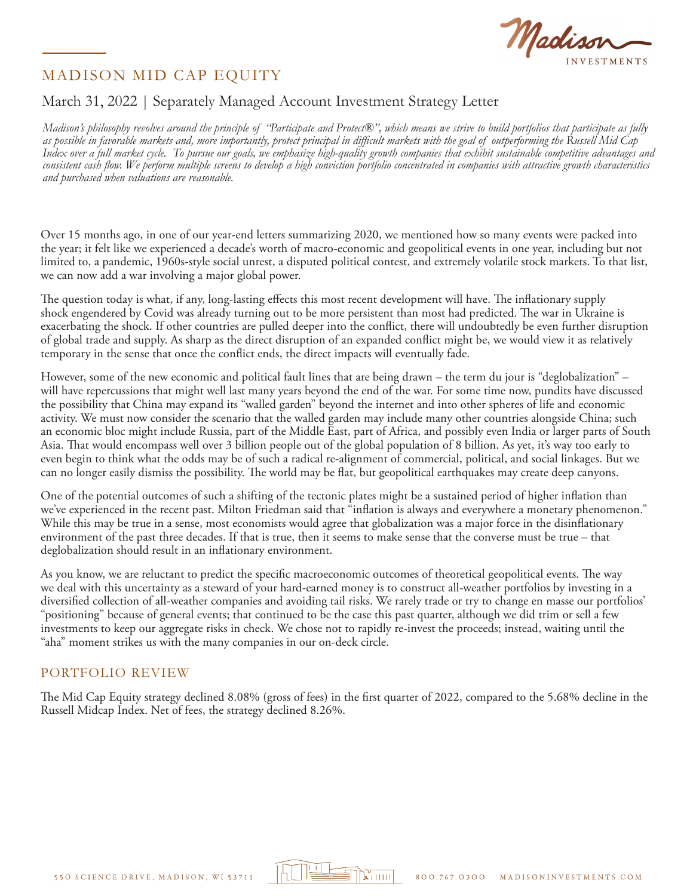

## MADISON MID CAP EQUITY

## March 31, 2022 | Separately Managed Account Investment Strategy Letter

*Madison's philosophy revolves around the principle of "Participate and Protect®", which means we strive to build portfolios that participate as fully as possible in favorable markets and, more importantly, protect principal in difficult markets with the goal of outperforming the Russell Mid Cap Index over a full market cycle. To pursue our goals, we emphasize high-quality growth companies that exhibit sustainable competitive advantages and consistent cash flow. We perform multiple screens to develop a high conviction portfolio concentrated in companies with attractive growth characteristics and purchased when valuations are reasonable.*

Over 15 months ago, in one of our year-end letters summarizing 2020, we mentioned how so many events were packed into the year; it felt like we experienced a decade's worth of macro-economic and geopolitical events in one year, including but not limited to, a pandemic, 1960s-style social unrest, a disputed political contest, and extremely volatile stock markets. To that list, we can now add a war involving a major global power.

The question today is what, if any, long-lasting effects this most recent development will have. The inflationary supply shock engendered by Covid was already turning out to be more persistent than most had predicted. The war in Ukraine is exacerbating the shock. If other countries are pulled deeper into the conflict, there will undoubtedly be even further disruption of global trade and supply. As sharp as the direct disruption of an expanded conflict might be, we would view it as relatively temporary in the sense that once the conflict ends, the direct impacts will eventually fade.

However, some of the new economic and political fault lines that are being drawn – the term du jour is "deglobalization" – will have repercussions that might well last many years beyond the end of the war. For some time now, pundits have discussed the possibility that China may expand its "walled garden" beyond the internet and into other spheres of life and economic activity. We must now consider the scenario that the walled garden may include many other countries alongside China; such an economic bloc might include Russia, part of the Middle East, part of Africa, and possibly even India or larger parts of South Asia. That would encompass well over 3 billion people out of the global population of 8 billion. As yet, it's way too early to even begin to think what the odds may be of such a radical re-alignment of commercial, political, and social linkages. But we can no longer easily dismiss the possibility. The world may be flat, but geopolitical earthquakes may create deep canyons.

One of the potential outcomes of such a shifting of the tectonic plates might be a sustained period of higher inflation than we've experienced in the recent past. Milton Friedman said that "inflation is always and everywhere a monetary phenomenon." While this may be true in a sense, most economists would agree that globalization was a major force in the disinflationary environment of the past three decades. If that is true, then it seems to make sense that the converse must be true – that deglobalization should result in an inflationary environment.

As you know, we are reluctant to predict the specific macroeconomic outcomes of theoretical geopolitical events. The way we deal with this uncertainty as a steward of your hard-earned money is to construct all-weather portfolios by investing in a diversified collection of all-weather companies and avoiding tail risks. We rarely trade or try to change en masse our portfolios' "positioning" because of general events; that continued to be the case this past quarter, although we did trim or sell a few investments to keep our aggregate risks in check. We chose not to rapidly re-invest the proceeds; instead, waiting until the "aha" moment strikes us with the many companies in our on-deck circle.

## PORTFOLIO REVIEW

The Mid Cap Equity strategy declined 8.08% (gross of fees) in the first quarter of 2022, compared to the 5.68% decline in the Russell Midcap Index. Net of fees, the strategy declined 8.26%.

la min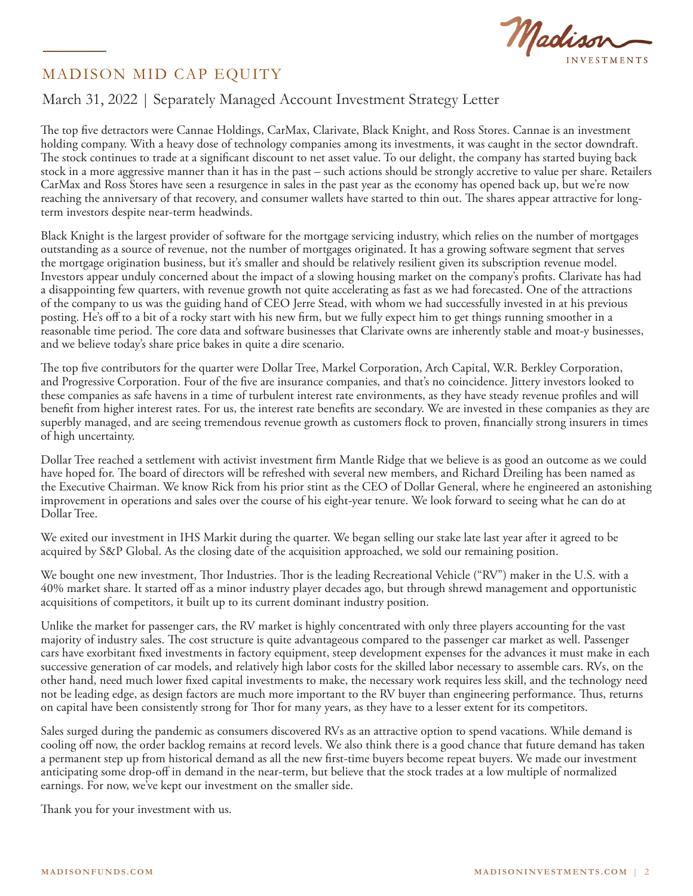

## MADISON MID CAP EQUITY

## March 31, 2022 | Separately Managed Account Investment Strategy Letter

The top five detractors were Cannae Holdings, CarMax, Clarivate, Black Knight, and Ross Stores. Cannae is an investment holding company. With a heavy dose of technology companies among its investments, it was caught in the sector downdraft. The stock continues to trade at a significant discount to net asset value. To our delight, the company has started buying back stock in a more aggressive manner than it has in the past – such actions should be strongly accretive to value per share. Retailers CarMax and Ross Stores have seen a resurgence in sales in the past year as the economy has opened back up, but we're now reaching the anniversary of that recovery, and consumer wallets have started to thin out. The shares appear attractive for longterm investors despite near-term headwinds.

Black Knight is the largest provider of software for the mortgage servicing industry, which relies on the number of mortgages outstanding as a source of revenue, not the number of mortgages originated. It has a growing software segment that serves the mortgage origination business, but it's smaller and should be relatively resilient given its subscription revenue model. Investors appear unduly concerned about the impact of a slowing housing market on the company's profits. Clarivate has had a disappointing few quarters, with revenue growth not quite accelerating as fast as we had forecasted. One of the attractions of the company to us was the guiding hand of CEO Jerre Stead, with whom we had successfully invested in at his previous posting. He's off to a bit of a rocky start with his new firm, but we fully expect him to get things running smoother in a reasonable time period. The core data and software businesses that Clarivate owns are inherently stable and moat-y businesses, and we believe today's share price bakes in quite a dire scenario.

The top five contributors for the quarter were Dollar Tree, Markel Corporation, Arch Capital, W.R. Berkley Corporation, and Progressive Corporation. Four of the five are insurance companies, and that's no coincidence. Jittery investors looked to these companies as safe havens in a time of turbulent interest rate environments, as they have steady revenue profiles and will benefit from higher interest rates. For us, the interest rate benefits are secondary. We are invested in these companies as they are superbly managed, and are seeing tremendous revenue growth as customers flock to proven, financially strong insurers in times of high uncertainty.

Dollar Tree reached a settlement with activist investment firm Mantle Ridge that we believe is as good an outcome as we could have hoped for. The board of directors will be refreshed with several new members, and Richard Dreiling has been named as the Executive Chairman. We know Rick from his prior stint as the CEO of Dollar General, where he engineered an astonishing improvement in operations and sales over the course of his eight-year tenure. We look forward to seeing what he can do at Dollar Tree.

We exited our investment in IHS Markit during the quarter. We began selling our stake late last year after it agreed to be acquired by S&P Global. As the closing date of the acquisition approached, we sold our remaining position.

We bought one new investment, Thor Industries. Thor is the leading Recreational Vehicle ("RV") maker in the U.S. with a 40% market share. It started off as a minor industry player decades ago, but through shrewd management and opportunistic acquisitions of competitors, it built up to its current dominant industry position.

Unlike the market for passenger cars, the RV market is highly concentrated with only three players accounting for the vast majority of industry sales. The cost structure is quite advantageous compared to the passenger car market as well. Passenger cars have exorbitant fixed investments in factory equipment, steep development expenses for the advances it must make in each successive generation of car models, and relatively high labor costs for the skilled labor necessary to assemble cars. RVs, on the other hand, need much lower fixed capital investments to make, the necessary work requires less skill, and the technology need not be leading edge, as design factors are much more important to the RV buyer than engineering performance. Thus, returns on capital have been consistently strong for Thor for many years, as they have to a lesser extent for its competitors.

Sales surged during the pandemic as consumers discovered RVs as an attractive option to spend vacations. While demand is cooling off now, the order backlog remains at record levels. We also think there is a good chance that future demand has taken a permanent step up from historical demand as all the new first-time buyers become repeat buyers. We made our investment anticipating some drop-off in demand in the near-term, but believe that the stock trades at a low multiple of normalized earnings. For now, we've kept our investment on the smaller side.

Thank you for your investment with us.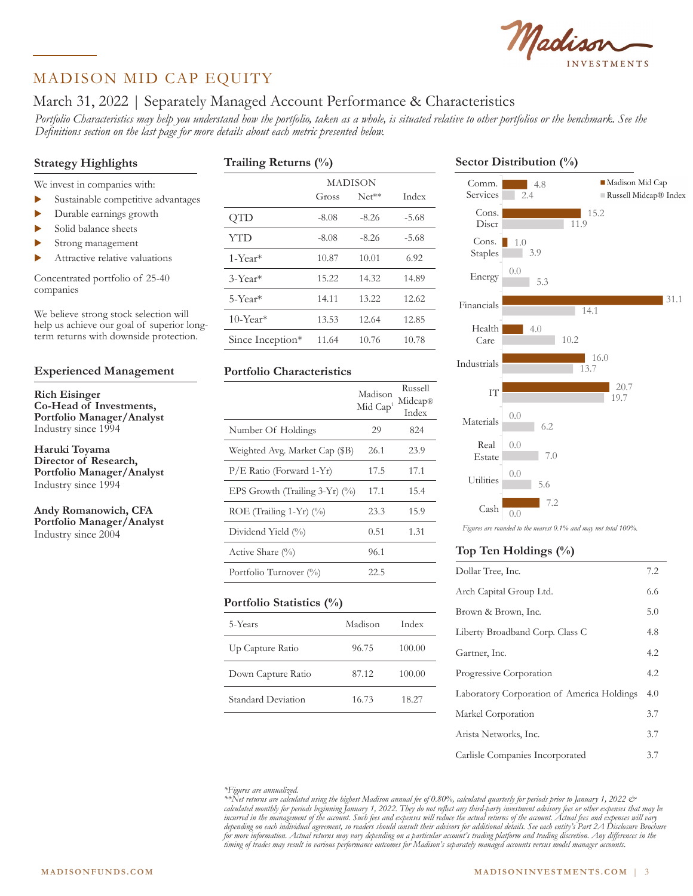

# MADISON MID CAP EQUITY

## March 31, 2022 | Separately Managed Account Performance & Characteristics

*Portfolio Characteristics may help you understand how the portfolio, taken as a whole, is situated relative to other portfolios or the benchmark. See the Definitions section on the last page for more details about each metric presented below.*

Index

| <b>Strategy Highlights</b>                                              | Trailing Returns (%)    |         |         |         |  |
|-------------------------------------------------------------------------|-------------------------|---------|---------|---------|--|
| We invest in companies with:                                            |                         | MADISON |         |         |  |
| Sustainable competitive advantages<br>$\blacktriangleright$             |                         | Gross   | $Net**$ | Index   |  |
| Durable earnings growth<br>▶                                            | QTQ                     | $-8.08$ | $-8.26$ | $-5.68$ |  |
| Solid balance sheets<br>$\blacktriangleright$<br>Strong management<br>▶ | YTD                     | $-8.08$ | $-8.26$ | $-5.68$ |  |
| Attractive relative valuations<br>$\blacktriangleright$                 | $1$ -Year <sup>*</sup>  | 10.87   | 10.01   | 6.92    |  |
| Concentrated portfolio of 25-40                                         | $3-Year*$               | 15.22   | 14.32   | 14.89   |  |
| companies                                                               | $5-Year*$               | 14.11   | 13.22   | 12.62   |  |
| We believe strong stock selection will<br>$\cdots$ $\cdots$ $\cdots$    | $10$ -Year <sup>*</sup> | 13.53   | 12.64   | 12.85   |  |

help us achieve our goal of superior longterm returns with downside protection.

#### **Experienced Management**

**Rich Eisinger Co-Head of Investments, Portfolio Manager/Analyst** Industry since 1994

**Haruki Toyama Director of Research, Portfolio Manager/Analyst** Industry since 1994

**Andy Romanowich, CFA Portfolio Manager/Analyst** Industry since 2004

# 5-Year\* 14.11 13.22 12.62 10-Year\* 13.53 12.64 12.85 Since Inception\* 11.64 10.76 10.78

### **Portfolio Characteristics**

|                                   | Madison<br>Mid $Cap1$ | Russell<br>Midcap®<br>Index |
|-----------------------------------|-----------------------|-----------------------------|
| Number Of Holdings                | 29                    | 824                         |
| Weighted Avg. Market Cap (\$B)    | 26.1                  | 23.9                        |
| $P/E$ Ratio (Forward 1-Yr)        | 17.5                  | 17.1                        |
| EPS Growth (Trailing $3-Yr$ ) (%) | 17.1                  | 15.4                        |
| $ROE$ (Trailing 1-Yr) $(\%)$      | 23.3                  | 15.9                        |
| Dividend Yield (%)                | 0.51                  | 1.31                        |
| Active Share $(\%$                | 96.1                  |                             |
| Portfolio Turnover (%)            | 22.5                  |                             |

#### **Portfolio Statistics (%)**

| 5-Years            | Madison | Index  |
|--------------------|---------|--------|
| Up Capture Ratio   | 96.75   | 100.00 |
| Down Capture Ratio | 87.12   | 100.00 |
| Standard Deviation | 16.73   | 18.27  |

## **Sector Distribution (%)**



Madison Mid Cap *Figures are rounded to the nearest 0.1% and may not total 100%.*

## **Top Ten Holdings (%)**

| $10p$ Tell Elolumigs (70)                  |     |
|--------------------------------------------|-----|
| Dollar Tree, Inc.                          | 7.2 |
| Arch Capital Group Ltd.                    | 6.6 |
| Brown & Brown, Inc.                        | 5.0 |
| Liberty Broadband Corp. Class C            | 4.8 |
| Gartner, Inc.                              | 4.2 |
| Progressive Corporation                    | 4.2 |
| Laboratory Corporation of America Holdings | 4.0 |
| Markel Corporation                         | 3.7 |
| Arista Networks, Inc.                      | 3.7 |
| Carlisle Companies Incorporated            | 3.7 |

*\*Figures are annualized.*

*\*\*Net returns are calculated using the highest Madison annual fee of 0.80%, calculated quarterly for periods prior to January 1, 2022 & calculated monthly for periods beginning January 1, 2022. They do not reflect any third-party investment advisory fees or other expenses that may be incurred in the management of the account. Such fees and expenses will reduce the actual returns of the account. Actual fees and expenses will vary depending on each individual agreement, so readers should consult their advisors for additional details. See each entity's Part 2A Disclosure Brochure for more information. Actual returns may vary depending on a particular account's trading platform and trading discretion. Any differences in the timing of trades may result in various performance outcomes for Madison's separately managed accounts versus model manager accounts.*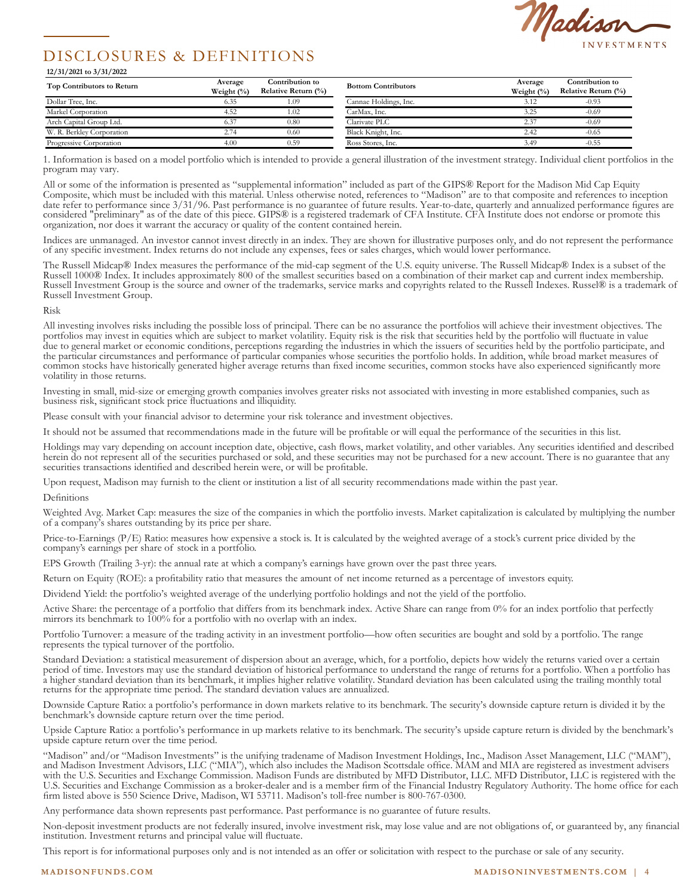

# DISCLOSURES & DEFINITIONS

| Top Contributors to Return | Average        | Contribution to        | <b>Bottom Contributors</b> | Average        | Contribution to        |
|----------------------------|----------------|------------------------|----------------------------|----------------|------------------------|
|                            | Weight $(\% )$ | Relative Return $(\%)$ |                            | Weight $(\% )$ | Relative Return $(\%)$ |
| Dollar Tree, Inc.          | 6.35           | 1.09                   | Cannae Holdings, Inc.      | 3.12           | $-0.93$                |
| Markel Corporation         | 4.52           | 1.02                   | CarMax. Inc.               | 3.25           | $-0.69$                |
| Arch Capital Group Ltd.    | 6.37           | 0.80                   | Clarivate PLC              | 2.37           | $-0.69$                |
| W. R. Berkley Corporation  | 2.74           | 0.60                   | Black Knight, Inc.         | 2.42           | $-0.65$                |
| Progressive Corporation    | 4.00           | 0.59                   | Ross Stores, Inc.          | 3.49           | $-0.55$                |

1. Information is based on a model portfolio which is intended to provide a general illustration of the investment strategy. Individual client portfolios in the program may vary.

All or some of the information is presented as "supplemental information" included as part of the GIPS® Report for the Madison Mid Cap Equity Composite, which must be included with this material. Unless otherwise noted, references to "Madison" are to that composite and references to inception<br>date refer to performance since 3/31/96. Past performance is no guaran considered "preliminary" as of the date of this piece. GIPS® is a registered trademark of CFA Institute. CFA Institute does not endorse or promote this considered "preliminary" as of the date of this piece. GIPS® is a regi organization, nor does it warrant the accuracy or quality of the content contained herein.  $\overline{\text{A}}$  composite, which must be included with this material. Unless otherwise noted, references to "Madison" are to that composite and references to  $\overline{\text{A}}$  and  $\overline{\text{A}}$  and  $\overline{\text{A}}$  and  $\overline{\text{A}}$  and  $\overline{\text{A$  $\alpha$  and  $\alpha$  of  $\alpha$  and  $\alpha$  and  $\alpha$  are  $\alpha$  and  $\alpha$  are  $\alpha$  and  $\alpha$  are  $\alpha$  and  $\alpha$  are  $\alpha$  and  $\alpha$  are  $\alpha$  and  $\alpha$  and  $\alpha$  and  $\alpha$  and  $\alpha$  and  $\alpha$  and  $\alpha$  and  $\alpha$  and  $\alpha$  and  $\alpha$  and  $\alpha$  and  $\alpha$  a

Indices are unmanaged. An investor cannot invest directly in an index. They are shown for illustrative purposes only, and do not represent the performance of any specific investment. Index returns do not include any expenses, fees or sales charges, which would lower performance.

The Russell Midcap® Index measures the performance of the mid-cap segment of the U.S. equity universe. The Russell Midcap® Index is a subset of the Russell 1000® Index. It includes approximately 800 of the smallest securities based on a combination of their market cap and current index membership. Russell Investment Group is the source and owner of the trademarks, service marks and copyrights related to the Russell Indexes. Russel® is a trademark of Russell Indexes. Russel® is a trademark of Russell Investment Group.<br> **12/31/2022** 

Risk

**12/31/2021 to 3/31/2022**

All investing involves risks including the possible loss of principal. There can be no assurance the portfolios will achieve their investment objectives. The portfolios may invest in equities which are subject to market volatility. Equity risk is the risk that securities held by the portfolio will fluctuate in value due to general market or economic conditions, perceptions regarding the industries in which the issuers of securities held by the portfolio participate, and the particular circumstances and performance of particular companies whose securities the portfolio holds. In addition, while broad market measures of common stocks have historically generated higher average returns than fixed income securities, common stocks have also experienced significantly more volatility in those returns. If investing involves risks including the possible loss of principal. I here can be no assurance the portfolios will achieve their investment

Investing in small, mid-size or emerging growth companies involves greater risks not associated with investing in more established companies, such as Investing in small, that side of emerging growth computers investigations and illiquidity. **Average Average**

Please consult with your financial advisor to determine your risk tolerance and investment objectives.

It should not be assumed that recommendations made in the future will be profitable or will equal the performance of the securities in this list. Traveler not be assumed that recommendations made in the ruture will be promade or will equal the performance or the securities in thi

Holdings may vary depending on account inception date, objective, cash flows, market volatility, and other variables. Any securities identified and described herein do not represent all of the securities purchased or sold, and these securities may not be purchased for a new account. There is no guarantee that any securities transactions identified and described herein were, or will be profitable.

Upon request, Madison may furnish to the client or institution a list of all security recommendations made within the past year.

Definitions **Definitions** 

Weighted Avg. Market Cap: measures the size of the companies in which the portfolio invests. Market capitalization is calculated by multiplying the number of a company's shares outstanding by its price per share. **12/31/2021 to 3/31/2022** Weighted Avg. Market Cap: measures the size of the companies in which the porttolio invests. Market capitalization is calculated by multiplyin<br>of a company's shares outstanding by its price per share.

Price-to-Earnings (P/E) Ratio: measures how expensive a stock is. It is calculated by the weighted average of a stock's current price divided by the company's earnings per share of stock in a portfolio.  $T_{\rm F}$  and  $T_{\rm F}$  are  $T_{\rm F}$  and  $T_{\rm F}$  are  $T_{\rm F}$ .  $T_{\rm F}$  and  $T_{\rm F}$ 

EPS Growth (Trailing 3-yr): the annual rate at which a company's earnings have grown over the past three years.

Return on Equity (ROE): a profitability ratio that measures the amount of net income returned as a percentage of investors equity.

Dividend Yield: the portfolio's weighted average of the underlying portfolio holdings and not the yield of the portfolio.

Active Share: the percentage of a portfolio that differs from its benchmark index. Active Share can range from 0% for an index portfolio that perfectly mirrors its benchmark to 100% for a portfolio with no overlap with an index.

Portfolio Turnover: a measure of the trading activity in an investment portfolio—how often securities are bought and sold by a portfolio. The range represents the typical turnover of the portfolio.

Standard Deviation: a statistical measurement of dispersion about an average, which, for a portfolio, depicts how widely the returns varied over a certain period of time. Investors may use the standard deviation of historical performance to understand the range of returns for a portfolio. When a portfolio has a higher standard deviation than its benchmark, it implies higher relative volatility. Standard deviation has been calculated using the trailing monthly total returns for the appropriate time period. The standard deviation values are annualized.

Downside Capture Ratio: a portfolio's performance in down markets relative to its benchmark. The security's downside capture return is divided it by the benchmark's downside capture return over the time period.

Upside Capture Ratio: a portfolio's performance in up markets relative to its benchmark. The security's upside capture return is divided by the benchmark's upside capture return over the time period.

"Madison" and/or "Madison Investments" is the unifying tradename of Madison Investment Holdings, Inc., Madison Asset Management, LLC ("MAM"), and Madison Investment Advisors, LLC ("MIA"), which also includes the Madison Scottsdale office. MAM and MIA are registered as investment advisers with the U.S. Securities and Exchange Commission. Madison Funds are distributed by MFD Distributor, LLC. MFD Distributor, LLC is registered with the U.S. Securities and Exchange Commission as a broker-dealer and is a member firm of the Financial Industry Regulatory Authority. The home office for each firm listed above is 550 Science Drive, Madison, WI 53711. Madison's toll-free number is 800-767-0300.

Any performance data shown represents past performance. Past performance is no guarantee of future results.

Non-deposit investment products are not federally insured, involve investment risk, may lose value and are not obligations of, or guaranteed by, any financial institution. Investment returns and principal value will fluctuate.

This report is for informational purposes only and is not intended as an offer or solicitation with respect to the purchase or sale of any security.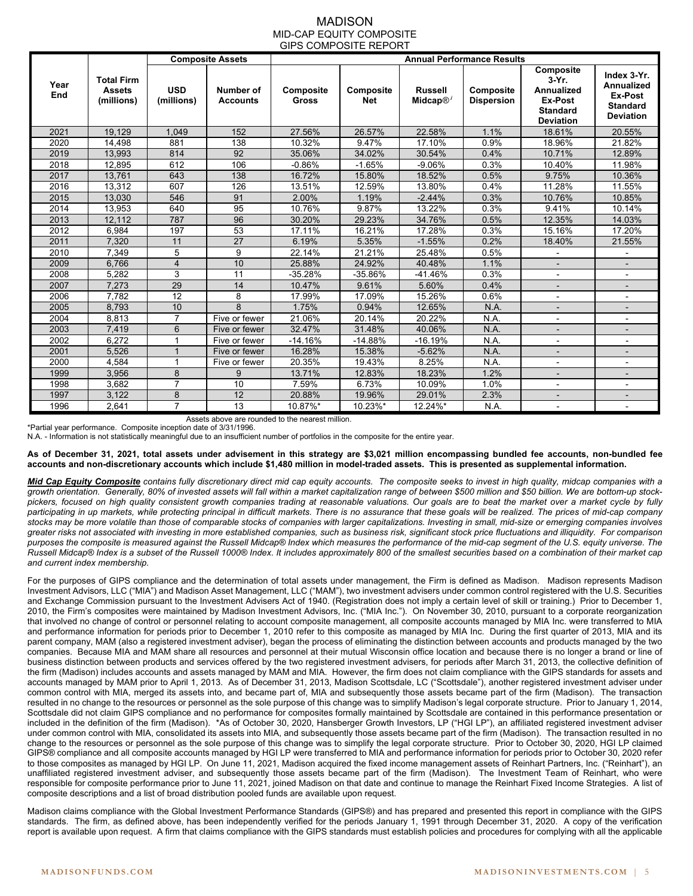#### MADISON MID-CAP EQUITY COMPOSITE GIPS COMPOSITE REPORT

|             |                                                  |                          | <b>Composite Assets</b>             | <b>Annual Performance Results</b> |                         |                                          |                                |                                                                                              |                                                                             |
|-------------|--------------------------------------------------|--------------------------|-------------------------------------|-----------------------------------|-------------------------|------------------------------------------|--------------------------------|----------------------------------------------------------------------------------------------|-----------------------------------------------------------------------------|
| Year<br>End | <b>Total Firm</b><br><b>Assets</b><br>(millions) | <b>USD</b><br>(millions) | <b>Number of</b><br><b>Accounts</b> | Composite<br>Gross                | Composite<br><b>Net</b> | <b>Russell</b><br>Midcap $\mathcal{D}^i$ | Composite<br><b>Dispersion</b> | Composite<br>$3-Yr$ .<br><b>Annualized</b><br>Ex-Post<br><b>Standard</b><br><b>Deviation</b> | Index 3-Yr.<br>Annualized<br>Ex-Post<br><b>Standard</b><br><b>Deviation</b> |
| 2021        | 19,129                                           | 1,049                    | 152                                 | 27.56%                            | 26.57%                  | 22.58%                                   | 1.1%                           | 18.61%                                                                                       | 20.55%                                                                      |
| 2020        | 14,498                                           | 881                      | 138                                 | 10.32%                            | 9.47%                   | 17.10%                                   | 0.9%                           | 18.96%                                                                                       | 21.82%                                                                      |
| 2019        | 13,993                                           | 814                      | 92                                  | 35.06%                            | 34.02%                  | 30.54%                                   | 0.4%                           | 10.71%                                                                                       | 12.89%                                                                      |
| 2018        | 12,895                                           | 612                      | 106                                 | $-0.86%$                          | $-1.65%$                | $-9.06%$                                 | 0.3%                           | 10.40%                                                                                       | 11.98%                                                                      |
| 2017        | 13,761                                           | 643                      | 138                                 | 16.72%                            | 15.80%                  | 18.52%                                   | 0.5%                           | 9.75%                                                                                        | 10.36%                                                                      |
| 2016        | 13.312                                           | 607                      | 126                                 | 13.51%                            | 12.59%                  | 13.80%                                   | 0.4%                           | 11.28%                                                                                       | 11.55%                                                                      |
| 2015        | 13,030                                           | 546                      | 91                                  | 2.00%                             | 1.19%                   | $-2.44%$                                 | 0.3%                           | 10.76%                                                                                       | 10.85%                                                                      |
| 2014        | 13,953                                           | 640                      | 95                                  | 10.76%                            | 9.87%                   | 13.22%                                   | 0.3%                           | 9.41%                                                                                        | 10.14%                                                                      |
| 2013        | 12,112                                           | 787                      | 96                                  | 30.20%                            | 29.23%                  | 34.76%                                   | 0.5%                           | 12.35%                                                                                       | 14.03%                                                                      |
| 2012        | 6.984                                            | 197                      | 53                                  | 17.11%                            | 16.21%                  | 17.28%                                   | 0.3%                           | 15.16%                                                                                       | 17.20%                                                                      |
| 2011        | 7.320                                            | 11                       | 27                                  | 6.19%                             | 5.35%                   | $-1.55%$                                 | 0.2%                           | 18.40%                                                                                       | 21.55%                                                                      |
| 2010        | 7,349                                            | 5                        | 9                                   | 22.14%                            | 21.21%                  | 25.48%                                   | 0.5%                           |                                                                                              |                                                                             |
| 2009        | 6,766                                            | $\overline{4}$           | 10                                  | 25.88%                            | 24.92%                  | 40.48%                                   | 1.1%                           |                                                                                              |                                                                             |
| 2008        | 5,282                                            | 3                        | 11                                  | $-35.28%$                         | -35.86%                 | -41.46%                                  | 0.3%                           | $\overline{\phantom{a}}$                                                                     |                                                                             |
| 2007        | 7,273                                            | 29                       | 14                                  | 10.47%                            | 9.61%                   | 5.60%                                    | 0.4%                           |                                                                                              |                                                                             |
| 2006        | 7.782                                            | 12                       | 8                                   | 17.99%                            | 17.09%                  | 15.26%                                   | 0.6%                           |                                                                                              |                                                                             |
| 2005        | 8,793                                            | 10                       | 8                                   | 1.75%                             | 0.94%                   | 12.65%                                   | N.A.                           |                                                                                              |                                                                             |
| 2004        | 8,813                                            | 7                        | Five or fewer                       | 21.06%                            | 20.14%                  | 20.22%                                   | N.A.                           |                                                                                              |                                                                             |
| 2003        | 7,419                                            | 6                        | Five or fewer                       | 32.47%                            | 31.48%                  | 40.06%                                   | N.A.                           | $\blacksquare$                                                                               | $\blacksquare$                                                              |
| 2002        | 6.272                                            | 1                        | Five or fewer                       | $-14.16%$                         | $-14.88%$               | $-16.19%$                                | N.A.                           |                                                                                              |                                                                             |
| 2001        | 5,526                                            |                          | Five or fewer                       | 16.28%                            | 15.38%                  | $-5.62%$                                 | N.A.                           |                                                                                              |                                                                             |
| 2000        | 4,584                                            | 1                        | Five or fewer                       | 20.35%                            | 19.43%                  | 8.25%                                    | N.A.                           |                                                                                              |                                                                             |
| 1999        | 3,956                                            | 8                        | 9                                   | 13.71%                            | 12.83%                  | 18.23%                                   | 1.2%                           | $\blacksquare$                                                                               | $\blacksquare$                                                              |
| 1998        | 3,682                                            | $\overline{7}$           | 10                                  | 7.59%                             | 6.73%                   | 10.09%                                   | 1.0%                           |                                                                                              |                                                                             |
| 1997        | 3,122                                            | 8                        | 12                                  | 20.88%                            | 19.96%                  | 29.01%                                   | 2.3%                           |                                                                                              |                                                                             |
| 1996        | 2,641                                            | $\overline{7}$           | 13                                  | 10.87%*                           | 10.23%*                 | 12.24%*                                  | N.A.                           |                                                                                              |                                                                             |

Assets above are rounded to the nearest million.

\*Partial year performance. Composite inception date of 3/31/1996.

N.A. - Information is not statistically meaningful due to an insufficient number of portfolios in the composite for the entire year.

#### **As of December 31, 2021, total assets under advisement in this strategy are \$3,021 million encompassing bundled fee accounts, non-bundled fee accounts and non-discretionary accounts which include \$1,480 million in model-traded assets. This is presented as supplemental information.**

*Mid Cap Equity Composite contains fully discretionary direct mid cap equity accounts. The composite seeks to invest in high quality, midcap companies with a growth orientation. Generally, 80% of invested assets will fall within a market capitalization range of between \$500 million and \$50 billion. We are bottom-up stockpickers, focused on high quality consistent growth companies trading at reasonable valuations. Our goals are to beat the market over a market cycle by fully participating in up markets, while protecting principal in difficult markets. There is no assurance that these goals will be realized. The prices of mid-cap company stocks may be more volatile than those of comparable stocks of companies with larger capitalizations. Investing in small, mid-size or emerging companies involves greater risks not associated with investing in more established companies, such as business risk, significant stock price fluctuations and illiquidity. For comparison purposes the composite is measured against the Russell Midcap® Index which measures the performance of the mid-cap segment of the U.S. equity universe. The Russell Midcap® Index is a subset of the Russell 1000® Index. It includes approximately 800 of the smallest securities based on a combination of their market cap and current index membership.* 

For the purposes of GIPS compliance and the determination of total assets under management, the Firm is defined as Madison. Madison represents Madison Investment Advisors, LLC ("MIA") and Madison Asset Management, LLC ("MAM"), two investment advisers under common control registered with the U.S. Securities and Exchange Commission pursuant to the Investment Advisers Act of 1940. (Registration does not imply a certain level of skill or training.) Prior to December 1, 2010, the Firm's composites were maintained by Madison Investment Advisors, Inc. ("MIA Inc."). On November 30, 2010, pursuant to a corporate reorganization that involved no change of control or personnel relating to account composite management, all composite accounts managed by MIA Inc. were transferred to MIA and performance information for periods prior to December 1, 2010 refer to this composite as managed by MIA Inc. During the first quarter of 2013, MIA and its parent company, MAM (also a registered investment adviser), began the process of eliminating the distinction between accounts and products managed by the two companies. Because MIA and MAM share all resources and personnel at their mutual Wisconsin office location and because there is no longer a brand or line of business distinction between products and services offered by the two registered investment advisers, for periods after March 31, 2013, the collective definition of the firm (Madison) includes accounts and assets managed by MAM and MIA. However, the firm does not claim compliance with the GIPS standards for assets and accounts managed by MAM prior to April 1, 2013. As of December 31, 2013, Madison Scottsdale, LC ("Scottsdale"), another registered investment adviser under common control with MIA, merged its assets into, and became part of, MIA and subsequently those assets became part of the firm (Madison). The transaction resulted in no change to the resources or personnel as the sole purpose of this change was to simplify Madison's legal corporate structure. Prior to January 1, 2014, Scottsdale did not claim GIPS compliance and no performance for composites formally maintained by Scottsdale are contained in this performance presentation or included in the definition of the firm (Madison). \*As of October 30, 2020, Hansberger Growth Investors, LP ("HGI LP"), an affiliated registered investment adviser under common control with MIA, consolidated its assets into MIA, and subsequently those assets became part of the firm (Madison). The transaction resulted in no change to the resources or personnel as the sole purpose of this change was to simplify the legal corporate structure. Prior to October 30, 2020, HGI LP claimed GIPS® compliance and all composite accounts managed by HGI LP were transferred to MIA and performance information for periods prior to October 30, 2020 refer to those composites as managed by HGI LP. On June 11, 2021, Madison acquired the fixed income management assets of Reinhart Partners, Inc. ("Reinhart"), an unaffiliated registered investment adviser, and subsequently those assets became part of the firm (Madison). The Investment Team of Reinhart, who were responsible for composite performance prior to June 11, 2021, joined Madison on that date and continue to manage the Reinhart Fixed Income Strategies. A list of composite descriptions and a list of broad distribution pooled funds are available upon request.

Madison claims compliance with the Global Investment Performance Standards (GIPS®) and has prepared and presented this report in compliance with the GIPS standards. The firm, as defined above, has been independently verified for the periods January 1, 1991 through December 31, 2020. A copy of the verification report is available upon request. A firm that claims compliance with the GIPS standards must establish policies and procedures for complying with all the applicable